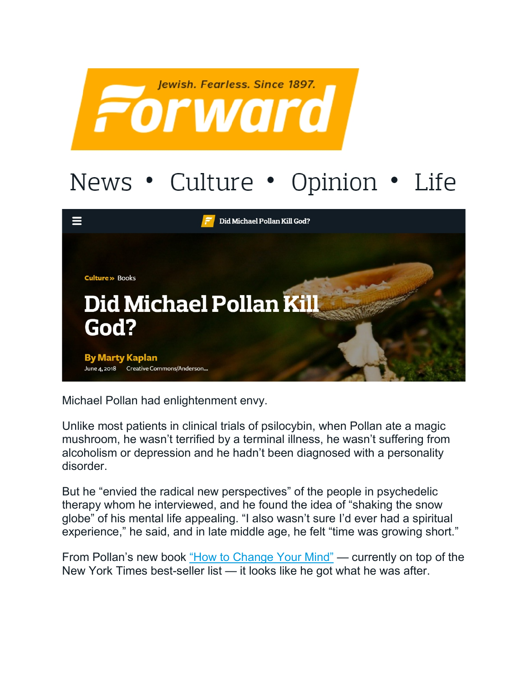

## News • Culture • Opinion • Life



Michael Pollan had enlightenment envy.

Unlike most patients in clinical trials of psilocybin, when Pollan ate a magic mushroom, he wasn't terrified by a terminal illness, he wasn't suffering from alcoholism or depression and he hadn't been diagnosed with a personality disorder.

But he "envied the radical new perspectives" of the people in psychedelic therapy whom he interviewed, and he found the idea of "shaking the snow globe" of his mental life appealing. "I also wasn't sure I'd ever had a spiritual experience," he said, and in late middle age, he felt "time was growing short."

From Pollan's new book ["How to Change Your Mind"](https://michaelpollan.com/books/how-to-change-your-mind/) — currently on top of the New York Times best-seller list — it looks like he got what he was after.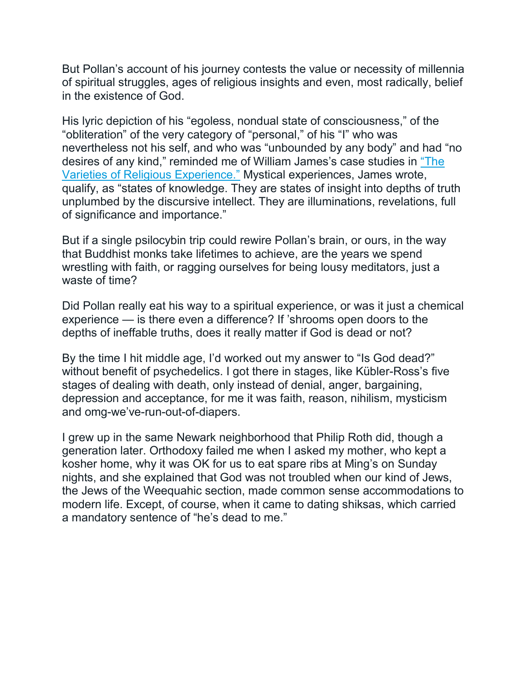But Pollan's account of his journey contests the value or necessity of millennia of spiritual struggles, ages of religious insights and even, most radically, belief in the existence of God.

His lyric depiction of his "egoless, nondual state of consciousness," of the "obliteration" of the very category of "personal," of his "I" who was nevertheless not his self, and who was "unbounded by any body" and had "no desires of any kind," reminded me of William James's case studies in ["The](http://www.gutenberg.org/files/621/621-h/621-h.html)  [Varieties of Religious Experience."](http://www.gutenberg.org/files/621/621-h/621-h.html) Mystical experiences, James wrote, qualify, as "states of knowledge. They are states of insight into depths of truth unplumbed by the discursive intellect. They are illuminations, revelations, full of significance and importance."

But if a single psilocybin trip could rewire Pollan's brain, or ours, in the way that Buddhist monks take lifetimes to achieve, are the years we spend wrestling with faith, or ragging ourselves for being lousy meditators, just a waste of time?

Did Pollan really eat his way to a spiritual experience, or was it just a chemical experience — is there even a difference? If 'shrooms open doors to the depths of ineffable truths, does it really matter if God is dead or not?

By the time I hit middle age, I'd worked out my answer to "Is God dead?" without benefit of psychedelics. I got there in stages, like Kübler-Ross's five stages of dealing with death, only instead of denial, anger, bargaining, depression and acceptance, for me it was faith, reason, nihilism, mysticism and omg-we've-run-out-of-diapers.

I grew up in the same Newark neighborhood that Philip Roth did, though a generation later. Orthodoxy failed me when I asked my mother, who kept a kosher home, why it was OK for us to eat spare ribs at Ming's on Sunday nights, and she explained that God was not troubled when our kind of Jews, the Jews of the Weequahic section, made common sense accommodations to modern life. Except, of course, when it came to dating shiksas, which carried a mandatory sentence of "he's dead to me."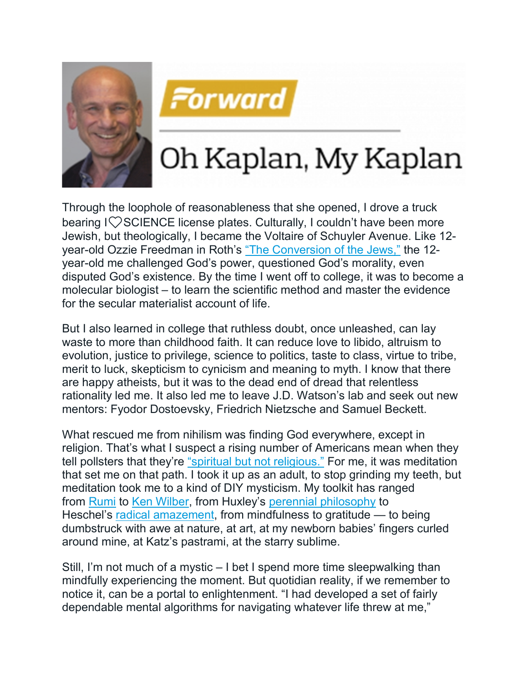



## Oh Kaplan, My Kaplan

Through the loophole of reasonableness that she opened, I drove a truck bearing I $\heartsuit$ SCIENCE license plates. Culturally, I couldn't have been more Jewish, but theologically, I became the Voltaire of Schuyler Avenue. Like 12- year-old Ozzie Freedman in Roth's ["The Conversion of the Jews,"](https://www.theparisreview.org/fiction/4830/the-conversion-of-the-jews-philip-roth) the 12year-old me challenged God's power, questioned God's morality, even disputed God's existence. By the time I went off to college, it was to become a molecular biologist – to learn the scientific method and master the evidence for the secular materialist account of life.

But I also learned in college that ruthless doubt, once unleashed, can lay waste to more than childhood faith. It can reduce love to libido, altruism to evolution, justice to privilege, science to politics, taste to class, virtue to tribe, merit to luck, skepticism to cynicism and meaning to myth. I know that there are happy atheists, but it was to the dead end of dread that relentless rationality led me. It also led me to leave J.D. Watson's lab and seek out new mentors: Fyodor Dostoevsky, Friedrich Nietzsche and Samuel Beckett.

What rescued me from nihilism was finding God everywhere, except in religion. That's what I suspect a rising number of Americans mean when they tell pollsters that they're ["spiritual but not religious."](http://www.pewresearch.org/fact-tank/2017/09/06/more-americans-now-say-theyre-spiritual-but-not-religious/) For me, it was meditation that set me on that path. I took it up as an adult, to stop grinding my teeth, but meditation took me to a kind of DIY mysticism. My toolkit has ranged from [Rumi](https://www.poets.org/poetsorg/poet/jalal-al-din-rumi) to [Ken Wilber,](https://www.amazon.com/Brief-History-Everything-20th-Anniversary/dp/1611804523/?tag=thefor03-20) from Huxley's [perennial philosophy](https://www.amazon.com/Perennial-Philosophy-Aldous-Huxley/dp/0061724947?tag=thefor03-20) to Heschel's [radical amazement,](http://www.awakin.org/read/view.php?tid=1080) from mindfulness to gratitude — to being dumbstruck with awe at nature, at art, at my newborn babies' fingers curled around mine, at Katz's pastrami, at the starry sublime.

Still, I'm not much of a mystic – I bet I spend more time sleepwalking than mindfully experiencing the moment. But quotidian reality, if we remember to notice it, can be a portal to enlightenment. "I had developed a set of fairly dependable mental algorithms for navigating whatever life threw at me,"